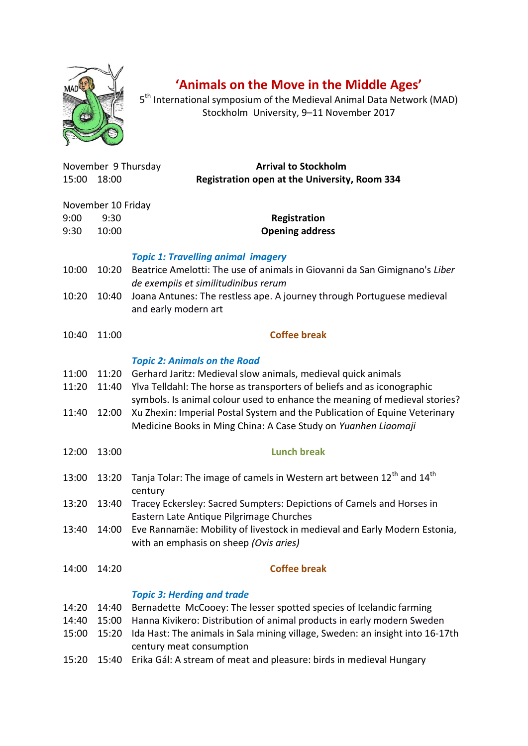

## **'Animals on the Move in the Middle Ages'**

5<sup>th</sup> International symposium of the Medieval Animal Data Network (MAD) Stockholm University, 9–11 November 2017

| 15:00                   | November 9 Thursday<br>18:00        | <b>Arrival to Stockholm</b><br>Registration open at the University, Room 334                                                                                                                                                                                                                                                                                                                                  |
|-------------------------|-------------------------------------|---------------------------------------------------------------------------------------------------------------------------------------------------------------------------------------------------------------------------------------------------------------------------------------------------------------------------------------------------------------------------------------------------------------|
| 9:00<br>9:30            | November 10 Friday<br>9:30<br>10:00 | Registration<br><b>Opening address</b>                                                                                                                                                                                                                                                                                                                                                                        |
| 10:00                   | 10:20                               | <b>Topic 1: Travelling animal imagery</b><br>Beatrice Amelotti: The use of animals in Giovanni da San Gimignano's Liber<br>de exempiis et similitudinibus rerum                                                                                                                                                                                                                                               |
| 10:20                   | 10:40                               | Joana Antunes: The restless ape. A journey through Portuguese medieval<br>and early modern art                                                                                                                                                                                                                                                                                                                |
| 10:40                   | 11:00                               | <b>Coffee break</b>                                                                                                                                                                                                                                                                                                                                                                                           |
| 11:00<br>11:20<br>11:40 | 11:20<br>11:40<br>12:00             | <b>Topic 2: Animals on the Road</b><br>Gerhard Jaritz: Medieval slow animals, medieval quick animals<br>Ylva Telldahl: The horse as transporters of beliefs and as iconographic<br>symbols. Is animal colour used to enhance the meaning of medieval stories?<br>Xu Zhexin: Imperial Postal System and the Publication of Equine Veterinary<br>Medicine Books in Ming China: A Case Study on Yuanhen Liaomaji |
| 12:00                   | 13:00                               | <b>Lunch break</b>                                                                                                                                                                                                                                                                                                                                                                                            |
| 13:00                   | 13:20                               | Tanja Tolar: The image of camels in Western art between 12 <sup>th</sup> and 14 <sup>th</sup><br>century                                                                                                                                                                                                                                                                                                      |
| 13:20                   | 13:40                               | Tracey Eckersley: Sacred Sumpters: Depictions of Camels and Horses in<br>Eastern Late Antique Pilgrimage Churches                                                                                                                                                                                                                                                                                             |
| 13:40                   | 14:00                               | Eve Rannamäe: Mobility of livestock in medieval and Early Modern Estonia,<br>with an emphasis on sheep (Ovis aries)                                                                                                                                                                                                                                                                                           |
| 14:00                   | 14:20                               | <b>Coffee break</b>                                                                                                                                                                                                                                                                                                                                                                                           |
| 14:20<br>14:40<br>15:00 | 14:40<br>15:00<br>15:20             | <b>Topic 3: Herding and trade</b><br>Bernadette McCooey: The lesser spotted species of Icelandic farming<br>Hanna Kivikero: Distribution of animal products in early modern Sweden<br>Ida Hast: The animals in Sala mining village, Sweden: an insight into 16-17th<br>century meat consumption                                                                                                               |
| 15:20                   | 15:40                               | Erika Gál: A stream of meat and pleasure: birds in medieval Hungary                                                                                                                                                                                                                                                                                                                                           |